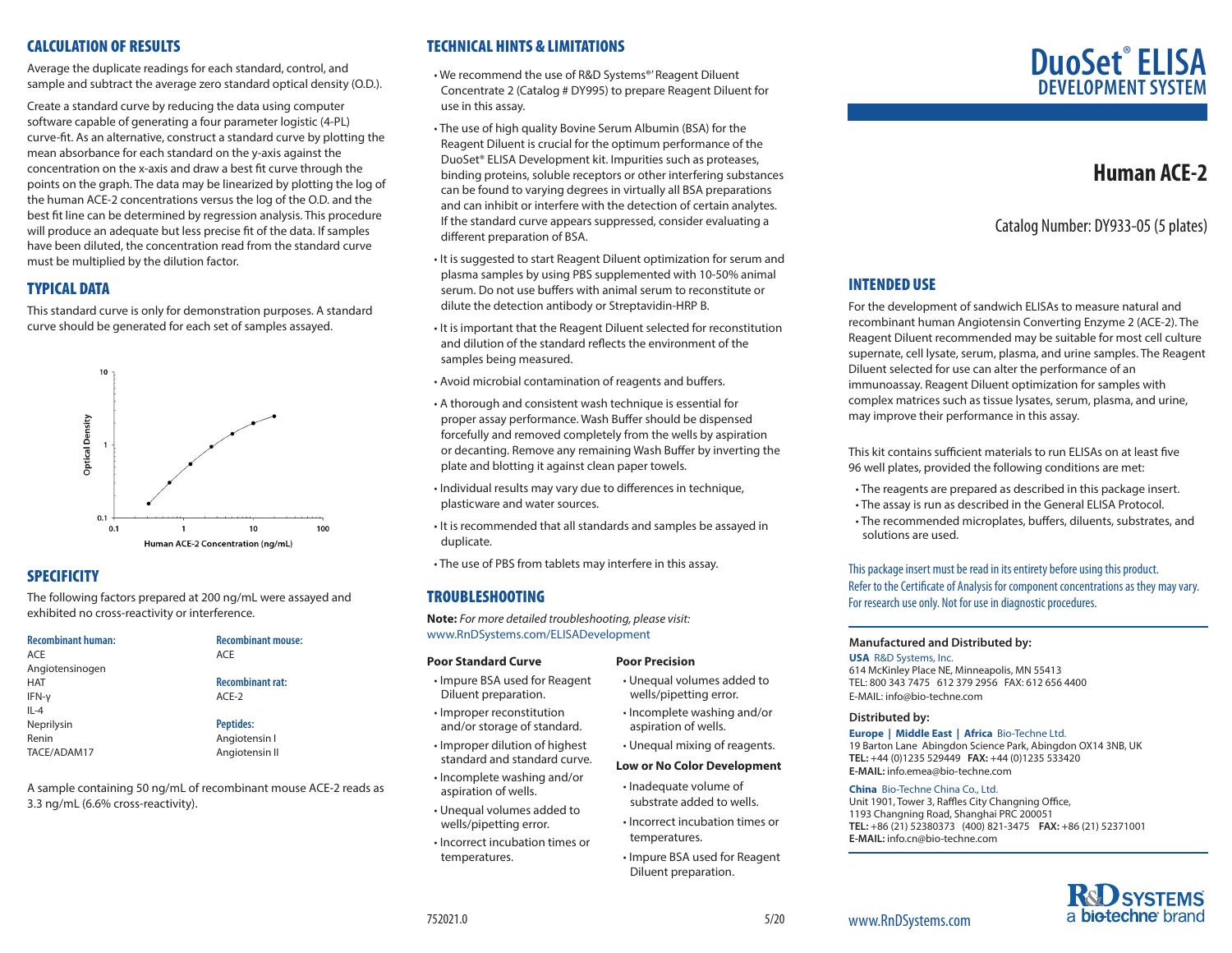## CALCULATION OF RESULTS

Average the duplicate readings for each standard, control, and sample and subtract the average zero standard optical density (O.D.).

Create a standard curve by reducing the data using computer software capable of generating a four parameter logistic (4-PL) curve-fit. As an alternative, construct a standard curve by plotting the mean absorbance for each standard on the y-axis against the concentration on the x-axis and draw a best fit curve through the points on the graph. The data may be linearized by plotting the log of the human ACE-2 concentrations versus the log of the O.D. and the best fit line can be determined by regression analysis. This procedure will produce an adequate but less precise fit of the data. If samples have been diluted, the concentration read from the standard curve must be multiplied by the dilution factor.

## TYPICAL DATA

This standard curve is only for demonstration purposes. A standard curve should be generated for each set of samples assayed.



# **SPECIFICITY**

The following factors prepared at 200 ng/mL were assayed and exhibited no cross-reactivity or interference.

| <b>Recombinant human:</b><br>ACF | <b>Recombinant mouse:</b><br><b>ACF</b> |
|----------------------------------|-----------------------------------------|
| Angiotensinogen<br><b>HAT</b>    | <b>Recombinant rat:</b>                 |
| IFN-y                            | $ACF-2$                                 |
| $II -4$                          |                                         |
| Neprilysin                       | <b>Peptides:</b>                        |
| Renin                            | Angiotensin I                           |
| TACE/ADAM17                      | Angiotensin II                          |
|                                  |                                         |

A sample containing 50 ng/mL of recombinant mouse ACE-2 reads as 3.3 ng/mL (6.6% cross-reactivity).

# TECHNICAL HINTS & LIMITATIONS

• We recommend the use of R&D Systems®' Reagent Diluent Concentrate 2 (Catalog # DY995) to prepare Reagent Diluent for use in this assay.

- The use of high quality Bovine Serum Albumin (BSA) for the Reagent Diluent is crucial for the optimum performance of the DuoSet® ELISA Development kit. Impurities such as proteases, binding proteins, soluble receptors or other interfering substances can be found to varying degrees in virtually all BSA preparations and can inhibit or interfere with the detection of certain analytes. If the standard curve appears suppressed, consider evaluating a different preparation of BSA.
- It is suggested to start Reagent Diluent optimization for serum and plasma samples by using PBS supplemented with 10-50% animal serum. Do not use buffers with animal serum to reconstitute or dilute the detection antibody or Streptavidin-HRP B.
- It is important that the Reagent Diluent selected for reconstitution and dilution of the standard reflects the environment of the samples being measured.
- Avoid microbial contamination of reagents and buffers.
- A thorough and consistent wash technique is essential for proper assay performance. Wash Buffer should be dispensed forcefully and removed completely from the wells by aspiration or decanting. Remove any remaining Wash Buffer by inverting the plate and blotting it against clean paper towels.
- Individual results may vary due to differences in technique, plasticware and water sources.
- It is recommended that all standards and samples be assayed in duplicate.
- The use of PBS from tablets may interfere in this assay.

# TROUBLESHOOTING

**Note:** *For more detailed troubleshooting, please visit:* www.RnDSystems.com/ELISADevelopment

#### **Poor Standard Curve**

- Impure BSA used for Reagent Diluent preparation.
- Improper reconstitution and/or storage of standard.
- Improper dilution of highest standard and standard curve.
- Incomplete washing and/or aspiration of wells.
- Unequal volumes added to wells/pipetting error.
- Incorrect incubation times or temperatures.

#### **Poor Precision**

- Unequal volumes added to wells/pipetting error.
- Incomplete washing and/or aspiration of wells.
- Unequal mixing of reagents.

### **Low or No Color Development**

- Inadequate volume of substrate added to wells.
- Incorrect incubation times or temperatures.
	- Impure BSA used for Reagent Diluent preparation.

# **DuoSet**®  **ELISA DEVELOPMENT SYS**

# **Human ACE-2**

Catalog Number: DY933-05 (5 plates)

# INTENDED USE

For the development of sandwich ELISAs to measure natural and recombinant human Angiotensin Converting Enzyme 2 (ACE-2). The Reagent Diluent recommended may be suitable for most cell culture supernate, cell lysate, serum, plasma, and urine samples. The Reagent Diluent selected for use can alter the performance of an immunoassay. Reagent Diluent optimization for samples with complex matrices such as tissue lysates, serum, plasma, and urine, may improve their performance in this assay.

This kit contains sufficient materials to run ELISAs on at least five 96 well plates, provided the following conditions are met:

- The reagents are prepared as described in this package insert.
- The assay is run as described in the General ELISA Protocol.
- The recommended microplates, buffers, diluents, substrates, and solutions are used.

This package insert must be read in its entirety before using this product. Refer to the Certificate of Analysis for component concentrations as they may vary. For research use only. Not for use in diagnostic procedures.

#### **Manufactured and Distributed by:**

#### **USA** R&D Systems, Inc.

614 McKinley Place NE, Minneapolis, MN 55413 TEL: 800 343 7475 612 379 2956 FAX: 612 656 4400 E-MAIL: info@bio-techne.com

#### **Distributed by:**

**Europe | Middle East | Africa** Bio-Techne Ltd. 19 Barton Lane Abingdon Science Park, Abingdon OX14 3NB, UK **TEL:** +44 (0)1235 529449 **FAX:** +44 (0)1235 533420 **E-MAIL:** info.emea@bio-techne.com

## **China** Bio-Techne China Co., Ltd.

Unit 1901, Tower 3, Raffles City Changning Office, 1193 Changning Road, Shanghai PRC 200051 **TEL:** +86 (21) 52380373 (400) 821-3475 **FAX:** +86 (21) 52371001 **E-MAIL:** info.cn@bio-techne.com